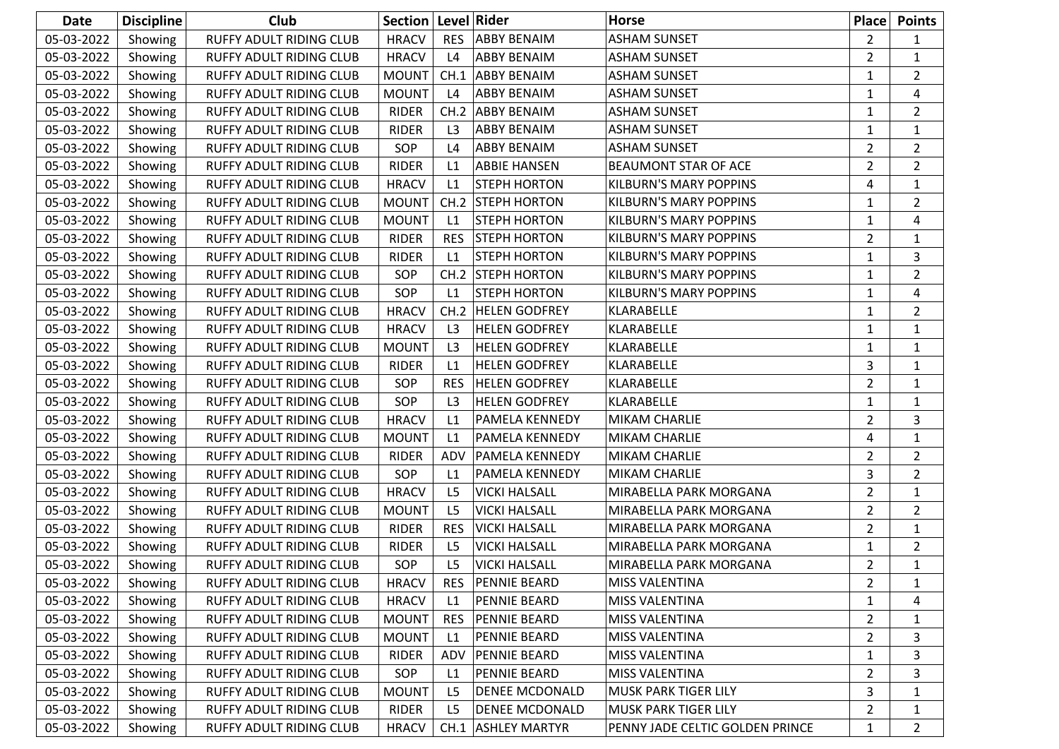| <b>Date</b> | <b>Discipline</b> | Club                           | Section   Level   Rider |                     |                       | Horse                           | <b>Place</b>   | <b>Points</b>  |
|-------------|-------------------|--------------------------------|-------------------------|---------------------|-----------------------|---------------------------------|----------------|----------------|
| 05-03-2022  | Showing           | <b>RUFFY ADULT RIDING CLUB</b> | <b>HRACV</b>            | <b>RES</b>          | <b>ABBY BENAIM</b>    | <b>ASHAM SUNSET</b>             | $\overline{2}$ | $\mathbf{1}$   |
| 05-03-2022  | Showing           | RUFFY ADULT RIDING CLUB        | <b>HRACV</b>            | L4                  | <b>ABBY BENAIM</b>    | <b>ASHAM SUNSET</b>             | $\overline{2}$ | $\mathbf{1}$   |
| 05-03-2022  | Showing           | RUFFY ADULT RIDING CLUB        | <b>MOUNT</b>            | CH.1                | <b>ABBY BENAIM</b>    | <b>ASHAM SUNSET</b>             | 1              | $\overline{2}$ |
| 05-03-2022  | Showing           | <b>RUFFY ADULT RIDING CLUB</b> | <b>MOUNT</b>            | L4                  | <b>ABBY BENAIM</b>    | <b>ASHAM SUNSET</b>             | 1              | 4              |
| 05-03-2022  | Showing           | RUFFY ADULT RIDING CLUB        | <b>RIDER</b>            | CH.2                | <b>ABBY BENAIM</b>    | <b>ASHAM SUNSET</b>             | 1              | $\overline{2}$ |
| 05-03-2022  | Showing           | RUFFY ADULT RIDING CLUB        | <b>RIDER</b>            | L <sub>3</sub>      | <b>ABBY BENAIM</b>    | <b>ASHAM SUNSET</b>             | 1              | $\mathbf{1}$   |
| 05-03-2022  | Showing           | RUFFY ADULT RIDING CLUB        | SOP                     | L4                  | <b>ABBY BENAIM</b>    | <b>ASHAM SUNSET</b>             | $\overline{2}$ | $\overline{2}$ |
| 05-03-2022  | Showing           | RUFFY ADULT RIDING CLUB        | <b>RIDER</b>            | L1                  | <b>ABBIE HANSEN</b>   | <b>BEAUMONT STAR OF ACE</b>     | $\overline{2}$ | $\overline{2}$ |
| 05-03-2022  | Showing           | RUFFY ADULT RIDING CLUB        | <b>HRACV</b>            | L1                  | <b>STEPH HORTON</b>   | <b>KILBURN'S MARY POPPINS</b>   | 4              | $\mathbf{1}$   |
| 05-03-2022  | Showing           | RUFFY ADULT RIDING CLUB        | <b>MOUNT</b>            | CH.2                | <b>STEPH HORTON</b>   | <b>KILBURN'S MARY POPPINS</b>   | $\mathbf{1}$   | $\overline{2}$ |
| 05-03-2022  | Showing           | RUFFY ADULT RIDING CLUB        | <b>MOUNT</b>            | L1                  | <b>STEPH HORTON</b>   | <b>KILBURN'S MARY POPPINS</b>   | $\mathbf{1}$   | 4              |
| 05-03-2022  | Showing           | RUFFY ADULT RIDING CLUB        | <b>RIDER</b>            | <b>RES</b>          | <b>STEPH HORTON</b>   | <b>KILBURN'S MARY POPPINS</b>   | $\overline{2}$ | $\mathbf{1}$   |
| 05-03-2022  | Showing           | RUFFY ADULT RIDING CLUB        | <b>RIDER</b>            | L1                  | <b>STEPH HORTON</b>   | <b>KILBURN'S MARY POPPINS</b>   | $\mathbf{1}$   | 3              |
| 05-03-2022  | Showing           | RUFFY ADULT RIDING CLUB        | SOP                     | CH.2                | <b>STEPH HORTON</b>   | <b>KILBURN'S MARY POPPINS</b>   | 1              | $\overline{2}$ |
| 05-03-2022  | Showing           | RUFFY ADULT RIDING CLUB        | SOP                     | L1                  | <b>STEPH HORTON</b>   | <b>KILBURN'S MARY POPPINS</b>   | 1              | 4              |
| 05-03-2022  | Showing           | RUFFY ADULT RIDING CLUB        | <b>HRACV</b>            | CH.2                | <b>HELEN GODFREY</b>  | KLARABELLE                      | $\mathbf{1}$   | $\overline{2}$ |
| 05-03-2022  | Showing           | RUFFY ADULT RIDING CLUB        | <b>HRACV</b>            | L3                  | <b>HELEN GODFREY</b>  | KLARABELLE                      | 1              | $\mathbf{1}$   |
| 05-03-2022  | Showing           | RUFFY ADULT RIDING CLUB        | <b>MOUNT</b>            | L <sub>3</sub>      | <b>HELEN GODFREY</b>  | KLARABELLE                      | $\mathbf{1}$   | $\mathbf{1}$   |
| 05-03-2022  | Showing           | RUFFY ADULT RIDING CLUB        | <b>RIDER</b>            | L1                  | <b>HELEN GODFREY</b>  | <b>KLARABELLE</b>               | 3              | $\mathbf{1}$   |
| 05-03-2022  | Showing           | RUFFY ADULT RIDING CLUB        | SOP                     | <b>RES</b>          | <b>HELEN GODFREY</b>  | KLARABELLE                      | $\overline{2}$ | $\mathbf{1}$   |
| 05-03-2022  | Showing           | RUFFY ADULT RIDING CLUB        | SOP                     | L <sub>3</sub>      | <b>HELEN GODFREY</b>  | KLARABELLE                      | 1              | $\mathbf{1}$   |
| 05-03-2022  | Showing           | RUFFY ADULT RIDING CLUB        | <b>HRACV</b>            | L1                  | PAMELA KENNEDY        | MIKAM CHARLIE                   | $\overline{2}$ | 3              |
| 05-03-2022  | Showing           | RUFFY ADULT RIDING CLUB        | <b>MOUNT</b>            | L1                  | <b>PAMELA KENNEDY</b> | <b>MIKAM CHARLIE</b>            | 4              | $\mathbf{1}$   |
| 05-03-2022  | Showing           | RUFFY ADULT RIDING CLUB        | <b>RIDER</b>            | ADV                 | <b>PAMELA KENNEDY</b> | MIKAM CHARLIE                   | $\overline{2}$ | $\overline{2}$ |
| 05-03-2022  | Showing           | RUFFY ADULT RIDING CLUB        | SOP                     | L1                  | <b>PAMELA KENNEDY</b> | MIKAM CHARLIE                   | 3              | $\overline{2}$ |
| 05-03-2022  | Showing           | RUFFY ADULT RIDING CLUB        | <b>HRACV</b>            | L <sub>5</sub>      | <b>VICKI HALSALL</b>  | MIRABELLA PARK MORGANA          | $\overline{2}$ | $\mathbf{1}$   |
| 05-03-2022  | Showing           | RUFFY ADULT RIDING CLUB        | <b>MOUNT</b>            | L <sub>5</sub>      | <b>VICKI HALSALL</b>  | MIRABELLA PARK MORGANA          | $\overline{2}$ | $\overline{2}$ |
| 05-03-2022  | Showing           | RUFFY ADULT RIDING CLUB        | <b>RIDER</b>            | <b>RES</b>          | <b>VICKI HALSALL</b>  | MIRABELLA PARK MORGANA          | $\overline{2}$ | $\mathbf{1}$   |
| 05-03-2022  | Showing           | RUFFY ADULT RIDING CLUB        | <b>RIDER</b>            | L <sub>5</sub>      | <b>VICKI HALSALL</b>  | MIRABELLA PARK MORGANA          | 1              | $\overline{2}$ |
| 05-03-2022  | Showing           | RUFFY ADULT RIDING CLUB        | SOP                     | L <sub>5</sub>      | <b>VICKI HALSALL</b>  | MIRABELLA PARK MORGANA          | $\overline{2}$ | $\mathbf{1}$   |
| 05-03-2022  | Showing           | <b>RUFFY ADULT RIDING CLUB</b> | <b>HRACV</b>            | <b>RES</b>          | <b>PENNIE BEARD</b>   | <b>MISS VALENTINA</b>           | 2              | $\mathbf{1}$   |
| 05-03-2022  | Showing           | RUFFY ADULT RIDING CLUB        | <b>HRACV</b>            | L1                  | <b>PENNIE BEARD</b>   | MISS VALENTINA                  | 1              | 4              |
| 05-03-2022  | Showing           | RUFFY ADULT RIDING CLUB        | <b>MOUNT</b>            | <b>RES</b>          | <b>PENNIE BEARD</b>   | MISS VALENTINA                  | $\overline{2}$ | 1              |
| 05-03-2022  | Showing           | RUFFY ADULT RIDING CLUB        | <b>MOUNT</b>            | $\lfloor 1 \rfloor$ | <b>PENNIE BEARD</b>   | <b>MISS VALENTINA</b>           | $\overline{2}$ | 3              |
| 05-03-2022  | Showing           | RUFFY ADULT RIDING CLUB        | <b>RIDER</b>            | ADV                 | <b>PENNIE BEARD</b>   | <b>MISS VALENTINA</b>           | 1              | 3              |
| 05-03-2022  | Showing           | RUFFY ADULT RIDING CLUB        | SOP                     | L1                  | <b>PENNIE BEARD</b>   | <b>MISS VALENTINA</b>           | $\overline{2}$ | 3              |
| 05-03-2022  | Showing           | RUFFY ADULT RIDING CLUB        | <b>MOUNT</b>            | L <sub>5</sub>      | <b>DENEE MCDONALD</b> | <b>MUSK PARK TIGER LILY</b>     | 3              | $\mathbf{1}$   |
| 05-03-2022  | Showing           | RUFFY ADULT RIDING CLUB        | <b>RIDER</b>            | L <sub>5</sub>      | DENEE MCDONALD        | MUSK PARK TIGER LILY            | $\overline{2}$ | $\mathbf{1}$   |
| 05-03-2022  | Showing           | RUFFY ADULT RIDING CLUB        | <b>HRACV</b>            |                     | CH.1 ASHLEY MARTYR    | PENNY JADE CELTIC GOLDEN PRINCE | $\mathbf{1}$   | $\overline{2}$ |